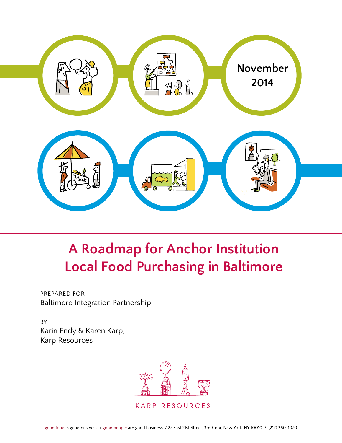

# **A Roadmap for Anchor Institution Local Food Purchasing in Baltimore**

Prepared For Baltimore Integration Partnership

BY Karin Endy & Karen Karp, Karp Resources

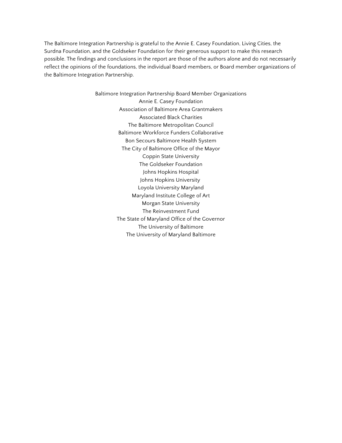The Baltimore Integration Partnership is grateful to the Annie E. Casey Foundation, Living Cities, the Surdna Foundation, and the Goldseker Foundation for their generous support to make this research possible. The findings and conclusions in the report are those of the authors alone and do not necessarily reflect the opinions of the foundations, the individual Board members, or Board member organizations of the Baltimore Integration Partnership.

> Baltimore Integration Partnership Board Member Organizations Annie E. Casey Foundation Association of Baltimore Area Grantmakers Associated Black Charities The Baltimore Metropolitan Council Baltimore Workforce Funders Collaborative Bon Secours Baltimore Health System The City of Baltimore Office of the Mayor Coppin State University The Goldseker Foundation Johns Hopkins Hospital Johns Hopkins University Loyola University Maryland Maryland Institute College of Art Morgan State University The Reinvestment Fund The State of Maryland Office of the Governor The University of Baltimore The University of Maryland Baltimore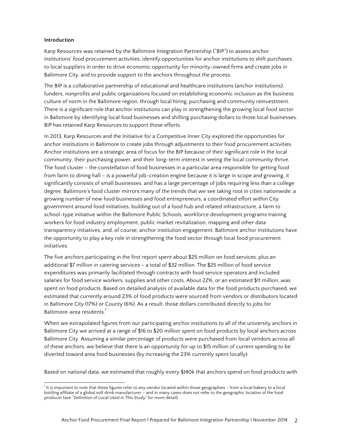## **Introduction**

Karp Resources was retained by the Baltimore Integration Partnership ("BIP") to assess anchor institutions' food procurement activities, identify opportunities for anchor institutions to shift purchases to local suppliers in order to drive economic opportunity for minority-owned firms and create jobs in Baltimore City, and to provide support to the anchors throughout the process.

The BIP is a collaborative partnership of educational and healthcare institutions (anchor institutions), funders, nonprofits and public organizations focused on establishing economic inclusion as the business culture of norm in the Baltimore region, through local hiring, purchasing and community reinvestment. There is a significant role that anchor institutions can play in strengthening the growing local food sector in Baltimore by identifying local food businesses and shifting purchasing dollars to those local businesses. BIP has retained Karp Resources to support those efforts.

In 2013, Karp Resources and the Initiative for a Competitive Inner City explored the opportunities for anchor institutions in Baltimore to create jobs through adjustments to their food procurement activities. Anchor institutions are a strategic area of focus for the BIP because of their significant role in the local community, their purchasing power, and their long-term interest in seeing the local community thrive. The food cluster – the constellation of food businesses in a particular area responsible for getting food from farm to dining hall – is a powerful job-creation engine because it is large in scope and growing, it significantly consists of small businesses, and has a large percentage of jobs requiring less than a college degree. Baltimore's food cluster mirrors many of the trends that we see taking root in cities nationwide: a growing number of new food businesses and food entrepreneurs, a coordinated effort within City government around food initiatives, building out of a food hub and related infrastructure, a farm to school-type initiative within the Baltimore Public Schools, workforce development programs training workers for food industry employment, public market revitalization, mapping and other data transparency initiatives, and, of course, anchor institution engagement. Baltimore anchor institutions have the opportunity to play a key role in strengthening the food sector through local food procurement initiatives.

The five anchors participating in the first report spent about \$25 million on food services, plus an additional \$7 million in catering services – a total of \$32 million. The \$25 million of food service expenditures was primarily facilitated through contracts with food service operators and included salaries for food service workers, supplies and other costs. About 22%, or an estimated \$11 million, was spent on food products. Based on detailed analysis of available data for the food products purchased, we estimated that currently around 23% of food products were sourced from vendors or distributors located in Baltimore City (17%) or County (6%). As a result, those dollars contributed directly to jobs for Baltimore-area residents.<sup>1</sup>

When we extrapolated figures from our participating anchor institutions to all of the university anchors in Baltimore City we arrived at a range of \$16 to \$20 million spent on food products by local anchors across Baltimore City. Assuming a similar percentage of products were purchased from local vendors across all of these anchors, we believe that there is an opportunity for up to \$15 million of current spending to be diverted toward area food businesses (by increasing the 23% currently spent locally).

Based on national data, we estimated that roughly every \$140k that anchors spend on food products with

 <sup>1</sup> It is important to note that these figures refer to any vendor located within those geographies – from a local bakery to a local bottling affiliate of a global soft drink manufacturer – and in many cases does not refer to the geographic location of the food producer (see "Definition of Local Used in This Study" for more detail).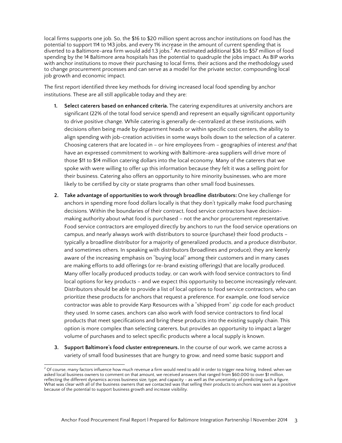local firms supports one job. So, the \$16 to \$20 million spent across anchor institutions on food has the potential to support 114 to 143 jobs, and every 1% increase in the amount of current spending that is diverted to a Baltimore-area firm would add 1.3 jobs. $^2$  An estimated additional \$36 to \$57 million of food spending by the 14 Baltimore area hospitals has the potential to quadruple the jobs impact. As BIP works with anchor institutions to move their purchasing to local firms, their actions and the methodology used to change procurement processes and can serve as a model for the private sector, compounding local job growth and economic impact.

The first report identified three key methods for driving increased local food spending by anchor institutions. These are all still applicable today and they are:

- **1. Select caterers based on enhanced criteria.** The catering expenditures at university anchors are significant (22% of the total food service spend) and represent an equally significant opportunity to drive positive change. While catering is generally de-centralized at these institutions, with decisions often being made by department heads or within specific cost centers, the ability to align spending with job-creation activities in some ways boils down to the selection of a caterer. Choosing caterers that are located in – or hire employees from – geographies of interest and that have an expressed commitment to working with Baltimore-area suppliers will drive more of those \$11 to \$14 million catering dollars into the local economy. Many of the caterers that we spoke with were willing to offer up this information because they felt it was a selling point for their business. Catering also offers an opportunity to hire minority businesses, who are more likely to be certified by city or state programs than other small food businesses.
- **2. Take advantage of opportunities to work through broadline distributors:** One key challenge for anchors in spending more food dollars locally is that they don't typically make food purchasing decisions. Within the boundaries of their contract, food service contractors have decisionmaking authority about what food is purchased – not the anchor procurement representative. Food service contractors are employed directly by anchors to run the food service operations on campus, and nearly always work with distributors to source (purchase) their food products – typically a broadline distributor for a majority of generalized products, and a produce distributor, and sometimes others. In speaking with distributors (broadlines and produce), they are keenly aware of the increasing emphasis on "buying local" among their customers and in many cases are making efforts to add offerings (or re-brand existing offerings) that are locally produced. Many offer locally produced products today, or can work with food service contractors to find local options for key products – and we expect this opportunity to become increasingly relevant. Distributors should be able to provide a list of local options to food service contractors, who can prioritize these products for anchors that request a preference. For example, one food service contractor was able to provide Karp Resources with a "shipped from" zip code for each product they used. In some cases, anchors can also work with food service contractors to find local products that meet specifications and bring these products into the existing supply chain. This option is more complex than selecting caterers, but provides an opportunity to impact a larger volume of purchases and to select specific products where a local supply is known.
- **3. Support Baltimore's food cluster entrepreneurs.** In the course of our work, we came across a variety of small food businesses that are hungry to grow, and need some basic support and

 $\frac{1}{2}$  Of course, many factors influence how much revenue a firm would need to add in order to trigger new hiring. Indeed, when we asked local business owners to comment on that amount, we received answers that ranged from \$60,000 to over \$1 million, reflecting the different dynamics across business size, type, and capacity – as well as the uncertainty of predicting such a figure. What was clear with all of the business owners that we contacted was that selling their products to anchors was seen as a positive because of the potential to support business growth and increase visibility.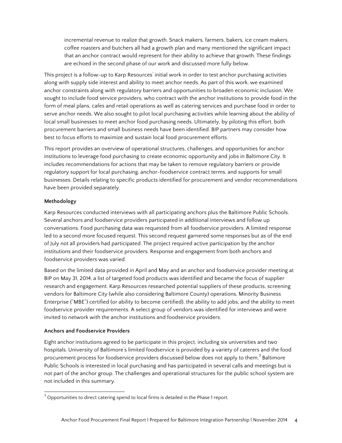incremental revenue to realize that growth. Snack makers, farmers, bakers, ice cream makers, coffee roasters and butchers all had a growth plan and many mentioned the significant impact that an anchor contract would represent for their ability to achieve that growth. These findings are echoed in the second phase of our work and discussed more fully below.

This project is a follow-up to Karp Resources' initial work in order to test anchor purchasing activities along with supply side interest and ability to meet anchor needs. As part of this work, we examined anchor constraints along with regulatory barriers and opportunities to broaden economic inclusion. We sought to include food service providers, who contract with the anchor institutions to provide food in the form of meal plans, cafes and retail operations as well as catering services and purchase food in order to serve anchor needs. We also sought to pilot local purchasing activities while learning about the ability of local small businesses to meet anchor food purchasing needs. Ultimately, by piloting this effort, both procurement barriers and small business needs have been identified. BIP partners may consider how best to focus efforts to maximize and sustain local food procurement efforts.

This report provides an overview of operational structures, challenges, and opportunities for anchor institutions to leverage food purchasing to create economic opportunity and jobs in Baltimore City. It includes recommendations for actions that may be taken to remove regulatory barriers or provide regulatory support for local purchasing, anchor-foodservice contract terms, and supports for small businesses. Details relating to specific products identified for procurement and vendor recommendations have been provided separately.

# **Methodology**

Karp Resources conducted interviews with all participating anchors plus the Baltimore Public Schools. Several anchors and foodservice providers participated in additional interviews and follow up conversations. Food purchasing data was requested from all foodservice providers. A limited response led to a second more focused request. This second request garnered some responses but as of the end of July not all providers had participated. The project required active participation by the anchor institutions and their foodservice providers. Response and engagement from both anchors and foodservice providers was varied.

Based on the limited data provided in April and May and an anchor and foodservice provider meeting at BIP on May 31, 2014, a list of targeted food products was identified and became the focus of supplier research and engagement. Karp Resources researched potential suppliers of these products, screening vendors for Baltimore City (while also considering Baltimore County) operations, Minority Business Enterprise ("MBE") certified (or ability to become certified), the ability to add jobs, and the ability to meet foodservice provider requirements. A select group of vendors was identified for interviews and were invited to network with the anchor institutions and foodservice providers.

# **Anchors and Foodservice Providers**

Eight anchor institutions agreed to be participate in this project, including six universities and two hospitals. University of Baltimore's limited foodservice is provided by a variety of caterers and the food procurement process for foodservice providers discussed below does not apply to them.<sup>3</sup> Baltimore Public Schools is interested in local purchasing and has participated in several calls and meetings but is not part of the anchor group. The challenges and operational structures for the public school system are not included in this summary.

 $3$  Opportunities to direct catering spend to local firms is detailed in the Phase 1 report.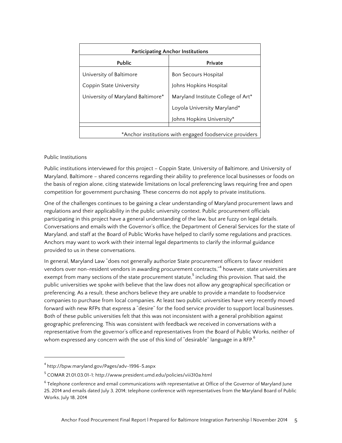| <b>Participating Anchor Institutions</b>                |                                    |
|---------------------------------------------------------|------------------------------------|
| Public                                                  | Private                            |
| University of Baltimore                                 | <b>Bon Secours Hospital</b>        |
| <b>Coppin State University</b>                          | Johns Hopkins Hospital             |
| University of Maryland Baltimore*                       | Maryland Institute College of Art* |
|                                                         | Loyola University Maryland*        |
|                                                         | Johns Hopkins University*          |
| *Anchor institutions with engaged foodservice providers |                                    |

## Public Institutions

Public institutions interviewed for this project – Coppin State, University of Baltimore, and University of Maryland, Baltimore – shared concerns regarding their ability to preference local businesses or foods on the basis of region alone, citing statewide limitations on local preferencing laws requiring free and open competition for government purchasing. These concerns do not apply to private institutions.

One of the challenges continues to be gaining a clear understanding of Maryland procurement laws and regulations and their applicability in the public university context. Public procurement officials participating in this project have a general understanding of the law, but are fuzzy on legal details. Conversations and emails with the Governor's office, the Department of General Services for the state of Maryland, and staff at the Board of Public Works have helped to clarify some regulations and practices. Anchors may want to work with their internal legal departments to clarify the informal guidance provided to us in these conversations.

In general, Maryland Law "does not generally authorize State procurement officers to favor resident vendors over non-resident vendors in awarding procurement contracts,"<sup>4</sup> however, state universities are exempt from many sections of the state procurement statute,<sup>5</sup> including this provision. That said, the public universities we spoke with believe that the law does not allow any geographical specification or preferencing. As a result, these anchors believe they are unable to provide a mandate to foodservice companies to purchase from local companies. At least two public universities have very recently moved forward with new RFPs that express a "desire" for the food service provider to support local businesses. Both of these public universities felt that this was not inconsistent with a general prohibition against geographic preferencing. This was consistent with feedback we received in conversations with a representative from the governor's office and representatives from the Board of Public Works, neither of whom expressed any concern with the use of this kind of "desirable" language in a RFP. $^{\rm 6}$ 

 

<sup>4</sup> http://bpw.maryland.gov/Pages/adv-1996-5.aspx

<sup>5</sup> COMAR 21.01.03.01-1; http://www.president.umd.edu/policies/viii310a.html

 $6$  Telephone conference and email communications with representative at Office of the Governor of Maryland June 25, 2014 and emails dated July 3, 2014; telephone conference with representatives from the Maryland Board of Public Works, July 18, 2014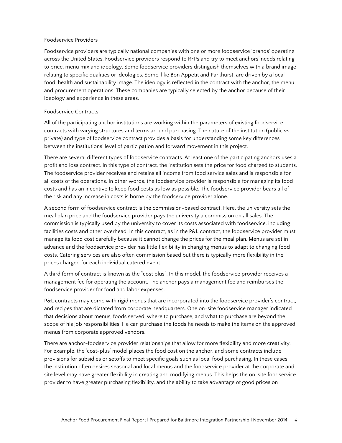## Foodservice Providers

Foodservice providers are typically national companies with one or more foodservice 'brands' operating across the United States. Foodservice providers respond to RFPs and try to meet anchors' needs relating to price, menu mix and ideology. Some foodservice providers distinguish themselves with a brand image relating to specific qualities or ideologies. Some, like Bon Appetit and Parkhurst, are driven by a local food, health and sustainability image. The ideology is reflected in the contract with the anchor, the menu and procurement operations. These companies are typically selected by the anchor because of their ideology and experience in these areas.

## Foodservice Contracts

All of the participating anchor institutions are working within the parameters of existing foodservice contracts with varying structures and terms around purchasing. The nature of the institution (public vs. private) and type of foodservice contract provides a basis for understanding some key differences between the institutions' level of participation and forward movement in this project.

There are several different types of foodservice contracts. At least one of the participating anchors uses a profit and loss contract. In this type of contract, the institution sets the price for food charged to students. The foodservice provider receives and retains all income from food service sales and is responsible for all costs of the operations. In other words, the foodservice provider is responsible for managing its food costs and has an incentive to keep food costs as low as possible. The foodservice provider bears all of the risk and any increase in costs is borne by the foodservice provider alone.

A second form of foodservice contract is the commission-based contract. Here, the university sets the meal plan price and the foodservice provider pays the university a commission on all sales. The commission is typically used by the university to cover its costs associated with foodservice, including facilities costs and other overhead. In this contract, as in the P&L contract, the foodservice provider must manage its food cost carefully because it cannot change the prices for the meal plan. Menus are set in advance and the foodservice provider has little flexibility in changing menus to adapt to changing food costs. Catering services are also often commission based but there is typically more flexibility in the prices charged for each individual catered event.

A third form of contract is known as the "cost plus". In this model, the foodservice provider receives a management fee for operating the account. The anchor pays a management fee and reimburses the foodservice provider for food and labor expenses.

P&L contracts may come with rigid menus that are incorporated into the foodservice provider's contract, and recipes that are dictated from corporate headquarters. One on-site foodservice manager indicated that decisions about menus, foods served, where to purchase, and what to purchase are beyond the scope of his job responsibilities. He can purchase the foods he needs to make the items on the approved menus from corporate approved vendors.

There are anchor-foodservice provider relationships that allow for more flexibility and more creativity. For example, the 'cost-plus' model places the food cost on the anchor, and some contracts include provisions for subsidies or setoffs to meet specific goals such as local food purchasing. In these cases, the institution often desires seasonal and local menus and the foodservice provider at the corporate and site level may have greater flexibility in creating and modifying menus. This helps the on-site foodservice provider to have greater purchasing flexibility, and the ability to take advantage of good prices on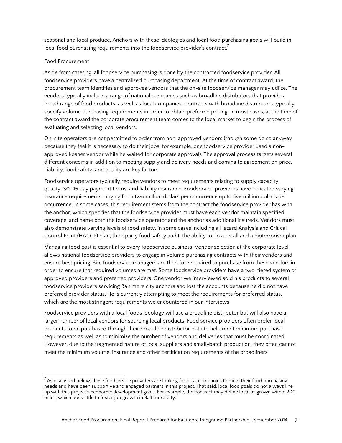seasonal and local produce. Anchors with these ideologies and local food purchasing goals will build in local food purchasing requirements into the foodservice provider's contract.<sup>7</sup>

# Food Procurement

Aside from catering, all foodservice purchasing is done by the contracted foodservice provider. All foodservice providers have a centralized purchasing department. At the time of contract award, the procurement team identifies and approves vendors that the on-site foodservice manager may utilize. The vendors typically include a range of national companies such as broadline distributors that provide a broad range of food products, as well as local companies. Contracts with broadline distributors typically specify volume purchasing requirements in order to obtain preferred pricing. In most cases, at the time of the contract award the corporate procurement team comes to the local market to begin the process of evaluating and selecting local vendors.

On-site operators are not permitted to order from non-approved vendors (though some do so anyway because they feel it is necessary to do their jobs; for example, one foodservice provider used a nonapproved kosher vendor while he waited for corporate approval). The approval process targets several different concerns in addition to meeting supply and delivery needs and coming to agreement on price. Liability, food safety, and quality are key factors.

Foodservice operators typically require vendors to meet requirements relating to supply capacity, quality, 30-45 day payment terms, and liability insurance. Foodservice providers have indicated varying insurance requirements ranging from two million dollars per occurrence up to five million dollars per occurrence. In some cases, this requirement stems from the contract the foodservice provider has with the anchor, which specifies that the foodservice provider must have each vendor maintain specified coverage, and name both the foodservice operator and the anchor as additional insureds. Vendors must also demonstrate varying levels of food safety, in some cases including a Hazard Analysis and Critical Control Point (HACCP) plan, third party food safety audit, the ability to do a recall and a bioterrorism plan.

Managing food cost is essential to every foodservice business. Vendor selection at the corporate level allows national foodservice providers to engage in volume purchasing contracts with their vendors and ensure best pricing. Site foodservice managers are therefore required to purchase from these vendors in order to ensure that required volumes are met. Some foodservice providers have a two-tiered system of approved providers and preferred providers. One vendor we interviewed sold his products to several foodservice providers servicing Baltimore city anchors and lost the accounts because he did not have preferred provider status. He is currently attempting to meet the requirements for preferred status, which are the most stringent requirements we encountered in our interviews.

Foodservice providers with a local foods ideology will use a broadline distributor but will also have a larger number of local vendors for sourcing local products. Food service providers often prefer local products to be purchased through their broadline distributor both to help meet minimum purchase requirements as well as to minimize the number of vendors and deliveries that must be coordinated. However, due to the fragmented nature of local suppliers and small-batch production, they often cannot meet the minimum volume, insurance and other certification requirements of the broadliners.

 $<sup>7</sup>$  As discussed below, these foodservice providers are looking for local companies to meet their food purchasing</sup> needs and have been supportive and engaged partners in this project. That said, local food goals do not always line up with this project's economic development goals. For example, the contract may define local as grown within 200 miles, which does little to foster job growth in Baltimore City.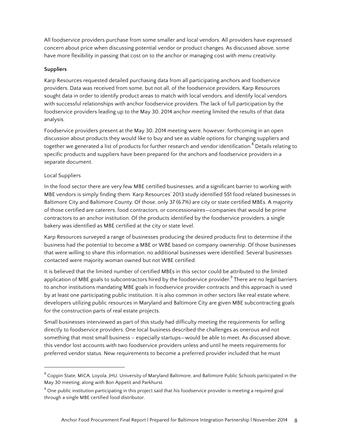All foodservice providers purchase from some smaller and local vendors. All providers have expressed concern about price when discussing potential vendor or product changes. As discussed above, some have more flexibility in passing that cost on to the anchor or managing cost with menu creativity.

# **Suppliers**

Karp Resources requested detailed purchasing data from all participating anchors and foodservice providers. Data was received from some, but not all, of the foodservice providers. Karp Resources sought data in order to identify product areas to match with local vendors, and identify local vendors with successful relationships with anchor foodservice providers. The lack of full participation by the foodservice providers leading up to the May 30, 2014 anchor meeting limited the results of that data analysis.

Foodservice providers present at the May 30, 2014 meeting were, however, forthcoming in an open discussion about products they would like to buy and see as viable options for changing suppliers and together we generated a list of products for further research and vendor identification.<sup>8</sup> Details relating to specific products and suppliers have been prepared for the anchors and foodservice providers in a separate document.

# Local Suppliers

 

In the food sector there are very few MBE certified businesses, and a significant barrier to working with MBE vendors is simply finding them. Karp Resources' 2013 study identified 551 food related businesses in Baltimore City and Baltimore County. Of those, only 37 (6.7%) are city or state certified MBEs. A majority of those certified are caterers, food contractors, or concessionaires—companies that would be prime contractors to an anchor institution. Of the products identified by the foodservice providers, a single bakery was identified as MBE certified at the city or state level.

Karp Resources surveyed a range of businesses producing the desired products first to determine if the business had the potential to become a MBE or WBE based on company ownership. Of those businesses that were willing to share this information, no additional businesses were identified. Several businesses contacted were majority woman owned but not WBE certified.

It is believed that the limited number of certified MBEs in this sector could be attributed to the limited application of MBE goals to subcontractors hired by the foodservice provider.<sup>9</sup> There are no legal barriers to anchor institutions mandating MBE goals in foodservice provider contracts and this approach is used by at least one participating public institution. It is also common in other sectors like real estate where, developers utilizing public resources in Maryland and Baltimore City are given MBE subcontracting goals for the construction parts of real estate projects.

Small businesses interviewed as part of this study had difficulty meeting the requirements for selling directly to foodservice providers. One local business described the challenges as onerous and not something that most small business – especially startups—would be able to meet. As discussed above, this vendor lost accounts with two foodservice providers unless and until he meets requirements for preferred vendor status. New requirements to become a preferred provider included that he must

<sup>&</sup>lt;sup>8</sup> Coppin State, MICA, Loyola, JHU, University of Maryland Baltimore, and Baltimore Public Schools participated in the May 30 meeting, along with Bon Appetit and Parkhurst.

 $9$  One public institution participating in this project said that his foodservice provider is meeting a required goal through a single MBE certified food distributor.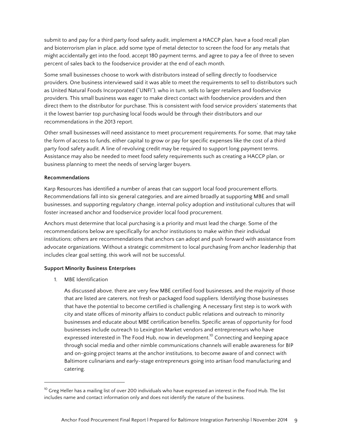submit to and pay for a third party food safety audit, implement a HACCP plan, have a food recall plan and bioterrorism plan in place, add some type of metal detector to screen the food for any metals that might accidentally get into the food, accept 180 payment terms, and agree to pay a fee of three to seven percent of sales back to the foodservice provider at the end of each month.

Some small businesses choose to work with distributors instead of selling directly to foodservice providers. One business interviewed said it was able to meet the requirements to sell to distributors such as United Natural Foods Incorporated ("UNFI"), who in turn, sells to larger retailers and foodservice providers. This small business was eager to make direct contact with foodservice providers and then direct them to the distributor for purchase. This is consistent with food service providers' statements that it the lowest barrier top purchasing local foods would be through their distributors and our recommendations in the 2013 report.

Other small businesses will need assistance to meet procurement requirements. For some, that may take the form of access to funds, either capital to grow or pay for specific expenses like the cost of a third party food safety audit. A line of revolving credit may be required to support long payment terms. Assistance may also be needed to meet food safety requirements such as creating a HACCP plan, or business planning to meet the needs of serving larger buyers.

## **Recommendations**

Karp Resources has identified a number of areas that can support local food procurement efforts. Recommendations fall into six general categories, and are aimed broadly at supporting MBE and small businesses, and supporting regulatory change, internal policy adoption and institutional cultures that will foster increased anchor and foodservice provider local food procurement.

Anchors must determine that local purchasing is a priority and must lead the charge. Some of the recommendations below are specifically for anchor institutions to make within their individual institutions; others are recommendations that anchors can adopt and push forward with assistance from advocate organizations. Without a strategic commitment to local purchasing from anchor leadership that includes clear goal setting, this work will not be successful.

## **Support Minority Business Enterprises**

1. MBE Identification

 

As discussed above, there are very few MBE certified food businesses, and the majority of those that are listed are caterers, not fresh or packaged food suppliers. Identifying those businesses that have the potential to become certified is challenging. A necessary first step is to work with city and state offices of minority affairs to conduct public relations and outreach to minority businesses and educate about MBE certification benefits. Specific areas of opportunity for food businesses include outreach to Lexington Market vendors and entrepreneurs who have expressed interested in The Food Hub, now in development.<sup>10</sup> Connecting and keeping apace through social media and other nimble communications channels will enable awareness for BIP and on-going project teams at the anchor institutions, to become aware of and connect with Baltimore culinarians and early-stage entrepreneurs going into artisan food manufacturing and catering.

 $10$  Greg Heller has a mailing list of over 200 individuals who have expressed an interest in the Food Hub. The list includes name and contact information only and does not identify the nature of the business.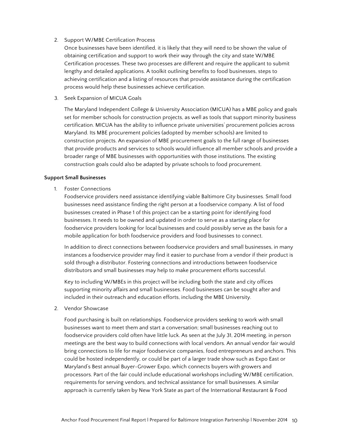## 2. Support W/MBE Certification Process

Once businesses have been identified, it is likely that they will need to be shown the value of obtaining certification and support to work their way through the city and state W/MBE Certification processes. These two processes are different and require the applicant to submit lengthy and detailed applications. A toolkit outlining benefits to food businesses, steps to achieving certification and a listing of resources that provide assistance during the certification process would help these businesses achieve certification.

3. Seek Expansion of MICUA Goals

The Maryland Independent College & University Association (MICUA) has a MBE policy and goals set for member schools for construction projects, as well as tools that support minority business certification. MICUA has the ability to influence private universities' procurement policies across Maryland. Its MBE procurement policies (adopted by member schools) are limited to construction projects. An expansion of MBE procurement goals to the full range of businesses that provide products and services to schools would influence all member schools and provide a broader range of MBE businesses with opportunities with those institutions. The existing construction goals could also be adapted by private schools to food procurement.

#### **Support Small Businesses**

1. Foster Connections

Foodservice providers need assistance identifying viable Baltimore City businesses. Small food businesses need assistance finding the right person at a foodservice company. A list of food businesses created in Phase 1 of this project can be a starting point for identifying food businesses. It needs to be owned and updated in order to serve as a starting place for foodservice providers looking for local businesses and could possibly serve as the basis for a mobile application for both foodservice providers and food businesses to connect.

In addition to direct connections between foodservice providers and small businesses, in many instances a foodservice provider may find it easier to purchase from a vendor if their product is sold through a distributor. Fostering connections and introductions between foodservice distributors and small businesses may help to make procurement efforts successful.

Key to including W/MBEs in this project will be including both the state and city offices supporting minority affairs and small businesses. Food businesses can be sought after and included in their outreach and education efforts, including the MBE University.

2. Vendor Showcase

Food purchasing is built on relationships. Foodservice providers seeking to work with small businesses want to meet them and start a conversation; small businesses reaching out to foodservice providers cold often have little luck. As seen at the July 31, 2014 meeting, in person meetings are the best way to build connections with local vendors. An annual vendor fair would bring connections to life for major foodservice companies, food entrepreneurs and anchors. This could be hosted independently, or could be part of a larger trade show such as Expo East or Maryland's Best annual Buyer-Grower Expo, which connects buyers with growers and processors. Part of the fair could include educational workshops including W/MBE certification, requirements for serving vendors, and technical assistance for small businesses. A similar approach is currently taken by New York State as part of the International Restaurant & Food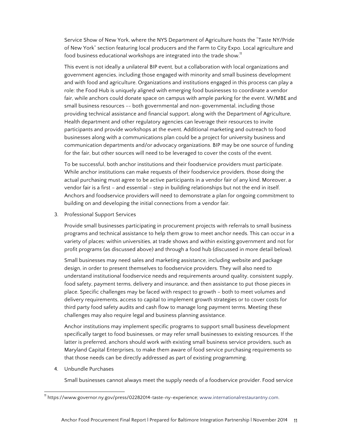Service Show of New York, where the NYS Department of Agriculture hosts the "Taste NY/Pride of New York" section featuring local producers and the Farm to City Expo. Local agriculture and food business educational workshops are integrated into the trade show.<sup>11</sup>

This event is not ideally a unilateral BIP event, but a collaboration with local organizations and government agencies, including those engaged with minority and small business development and with food and agriculture. Organizations and institutions engaged in this process can play a role: the Food Hub is uniquely aligned with emerging food businesses to coordinate a vendor fair, while anchors could donate space on campus with ample parking for the event. W/MBE and small business resources -- both governmental and non-governmental, including those providing technical assistance and financial support, along with the Department of Agriculture, Health department and other regulatory agencies can leverage their resources to invite participants and provide workshops at the event. Additional marketing and outreach to food businesses along with a communications plan could be a project for university business and communication departments and/or advocacy organizations. BIP may be one source of funding for the fair, but other sources will need to be leveraged to cover the costs of the event.

To be successful, both anchor institutions and their foodservice providers must participate. While anchor institutions can make requests of their foodservice providers, those doing the actual purchasing must agree to be active participants in a vendor fair of any kind. Moreover, a vendor fair is a first – and essential – step in building relationships but not the end in itself. Anchors and foodservice providers will need to demonstrate a plan for ongoing commitment to building on and developing the initial connections from a vendor fair.

3. Professional Support Services

Provide small businesses participating in procurement projects with referrals to small business programs and technical assistance to help them grow to meet anchor needs. This can occur in a variety of places: within universities, at trade shows and within existing government and not for profit programs (as discussed above) and through a food hub (discussed in more detail below).

Small businesses may need sales and marketing assistance, including website and package design, in order to present themselves to foodservice providers. They will also need to understand institutional foodservice needs and requirements around quality, consistent supply, food safety, payment terms, delivery and insurance, and then assistance to put those pieces in place. Specific challenges may be faced with respect to growth – both to meet volumes and delivery requirements, access to capital to implement growth strategies or to cover costs for third party food safety audits and cash flow to manage long payment terms. Meeting these challenges may also require legal and business planning assistance.

Anchor institutions may implement specific programs to support small business development specifically target to food businesses, or may refer small businesses to existing resources. If the latter is preferred, anchors should work with existing small business service providers, such as Maryland Capital Enterprises, to make them aware of food service purchasing requirements so that those needs can be directly addressed as part of existing programming.

4. Unbundle Purchases

Small businesses cannot always meet the supply needs of a foodservice provider. Food service

<sup>&</sup>lt;sup>11</sup> https://www.governor.ny.gov/press/02282014-taste-ny-experience; www.internationalrestaurantny.com.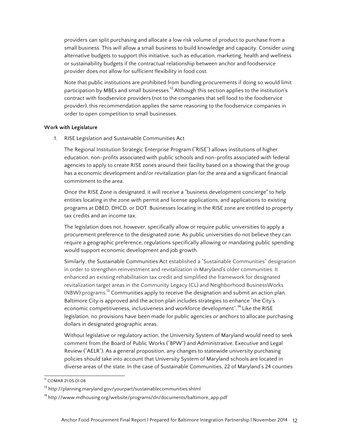providers can split purchasing and allocate a low risk volume of product to purchase from a small business. This will allow a small business to build knowledge and capacity. Consider using alternative budgets to support this initiative, such as education, marketing, health and wellness or sustainability budgets if the contractual relationship between anchor and foodservice provider does not allow for sufficient flexibility in food cost.

Note that public institutions are prohibited from bundling procurements if doing so would limit participation by MBEs and small businesses.<sup>12</sup> Although this section applies to the institution's contract with foodservice providers (not to the companies that sell food to the foodservice provider), this recommendation applies the same reasoning to the foodservice companies in order to open competition to small businesses.

## **Work with Legislature**

1. RISE Legislation and Sustainable Communities Act

The Regional Institution Strategic Enterprise Program ("RISE") allows institutions of higher education, non-profits associated with public schools and non-profits associated with federal agencies to apply to create RISE zones around their facility based on a showing that the group has a economic development and/or revitalization plan for the area and a significant financial commitment to the area.

Once the RISE Zone is designated, it will receive a "business development concierge" to help entities locating in the zone with permit and license applications, and applications to existing programs at DBED, DHCD, or DOT. Businesses locating in the RISE zone are entitled to property tax credits and an income tax.

The legislation does not, however, specifically allow or require public universities to apply a procurement preference to the designated zone. As public universities do not believe they can require a geographic preference, regulations specifically allowing or mandating public spending would support economic development and job growth.

Similarly, the Sustainable Communities Act established a "Sustainable Communities" designation in order to strengthen reinvestment and revitalization in Maryland's older communities. It enhanced an existing rehabilitation tax credit and simplified the framework for designated revitalization target areas in the Community Legacy (CL) and Neighborhood BusinessWorks (NBW) programs.13 Communities apply to receive the designation and submit an action plan. Baltimore City is approved and the action plan includes strategies to enhance "the City's economic competitiveness, inclusiveness and workforce development".<sup>14</sup> Like the RISE legislation, no provisions have been made for public agencies or anchors to allocate purchasing dollars in designated geographic areas.

Without legislative or regulatory action, the University System of Maryland would need to seek comment from the Board of Public Works ("BPW") and Administrative, Executive and Legal Review ("AELR"). As a general proposition, any changes to statewide university purchasing policies should take into account that University System of Maryland schools are located in diverse areas of the state. In the case of Sustainable Communities, 22 of Maryland's 24 counties

 <sup>12</sup> COMAR 21.05.01.08

<sup>&</sup>lt;sup>13</sup> http://planning.maryland.gov/yourpart/sustainablecommunities.shtml

<sup>&</sup>lt;sup>14</sup> http://www.mdhousing.org/website/programs/dn/documents/baltimore\_app.pdf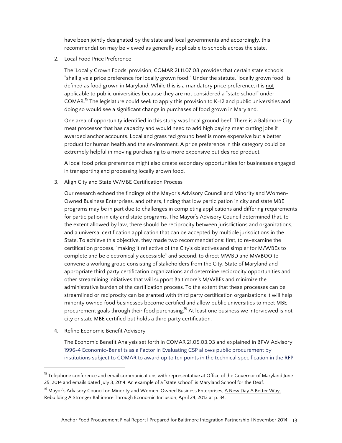have been jointly designated by the state and local governments and accordingly, this recommendation may be viewed as generally applicable to schools across the state.

2. Local Food Price Preference

The 'Locally Grown Foods' provision, COMAR 21.11.07.08 provides that certain state schools "shall give a price preference for locally grown food." Under the statute, 'locally grown food'' is defined as food grown in Maryland. While this is a mandatory price preference, it is not applicable to public universities because they are not considered a "state school" under COMAR.<sup>15</sup> The legislature could seek to apply this provision to K-12 and public universities and doing so would see a significant change in purchases of food grown in Maryland.

One area of opportunity identified in this study was local ground beef. There is a Baltimore City meat processor that has capacity and would need to add high paying meat cutting jobs if awarded anchor accounts. Local and grass fed ground beef is more expensive but a better product for human health and the environment. A price preference in this category could be extremely helpful in moving purchasing to a more expensive but desired product.

A local food price preference might also create secondary opportunities for businesses engaged in transporting and processing locally grown food.

3. Align City and State W/MBE Certification Process

Our research echoed the findings of the Mayor's Advisory Council and Minority and Women-Owned Business Enterprises, and others, finding that low participation in city and state MBE programs may be in part due to challenges in completing applications and differing requirements for participation in city and state programs. The Mayor's Advisory Council determined that, to the extent allowed by law, there should be reciprocity between jurisdictions and organizations, and a universal certification application that can be accepted by multiple jurisdictions in the State. To achieve this objective, they made two recommendations: first, to re-examine the certification process, "making it reflective of the City's objectives and simpler for M/WBEs to complete and be electronically accessible" and second, to direct MWBD and MWBOO to convene a working group consisting of stakeholders from the City, State of Maryland and appropriate third party certification organizations and determine reciprocity opportunities and other streamlining initiatives that will support Baltimore's M/WBEs and minimize the administrative burden of the certification process. To the extent that these processes can be streamlined or reciprocity can be granted with third party certification organizations it will help minority owned food businesses become certified and allow public universities to meet MBE procurement goals through their food purchasing.<sup>16</sup> At least one business we interviewed is not city or state MBE certified but holds a third party certification.

4. Refine Economic Benefit Advisory

 

The Economic Benefit Analysis set forth in COMAR 21.05.03.03 and explained in BPW Advisory 1996-4 Economic-Benefits as a Factor in Evaluating CSP allows public procurement by institutions subject to COMAR to award up to ten points in the technical specification in the RFP

<sup>&</sup>lt;sup>15</sup> Telephone conference and email communications with representative at Office of the Governor of Maryland June 25, 2014 and emails dated July 3, 2014. An example of a "state school" is Maryland School for the Deaf.

<sup>&</sup>lt;sup>16</sup> Mayor's Advisory Council on Minority and Women-Owned Business Enterprises, A New Day A Better Way, Rebuilding A Stronger Baltimore Through Economic Inclusion, April 24, 2013 at p. 34.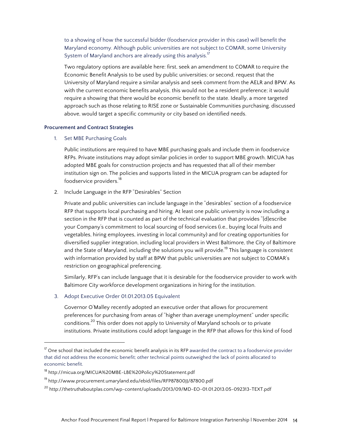to a showing of how the successful bidder (foodservice provider in this case) will benefit the Maryland economy. Although public universities are not subject to COMAR, some University System of Maryland anchors are already using this analysis.<sup>17</sup>

Two regulatory options are available here: first, seek an amendment to COMAR to require the Economic Benefit Analysis to be used by public universities; or second, request that the University of Maryland require a similar analysis and seek comment from the AELR and BPW. As with the current economic benefits analysis, this would not be a resident preference; it would require a showing that there would be economic benefit to the state. Ideally, a more targeted approach such as those relating to RISE zone or Sustainable Communities purchasing, discussed above, would target a specific community or city based on identified needs.

## **Procurement and Contract Strategies**

## 1. Set MBE Purchasing Goals

Public institutions are required to have MBE purchasing goals and include them in foodservice RFPs. Private institutions may adopt similar policies in order to support MBE growth. MICUA has adopted MBE goals for construction projects and has requested that all of their member institution sign on. The policies and supports listed in the MICUA program can be adapted for foodservice providers.<sup>18</sup>

2. Include Language in the RFP "Desirables" Section

Private and public universities can include language in the "desirables" section of a foodservice RFP that supports local purchasing and hiring. At least one public university is now including a section in the RFP that is counted as part of the technical evaluation that provides "[d]escribe your Company's commitment to local sourcing of food services (i.e., buying local fruits and vegetables, hiring employees, investing in local community) and for creating opportunities for diversified supplier integration, including local providers in West Baltimore, the City of Baltimore and the State of Maryland, including the solutions you will provide.<sup>19</sup> This language is consistent with information provided by staff at BPW that public universities are not subject to COMAR's restriction on geographical preferencing.

Similarly, RFP's can include language that it is desirable for the foodservice provider to work with Baltimore City workforce development organizations in hiring for the institution.

3. Adopt Executive Order 01.01.2013.05 Equivalent

 

Governor O'Malley recently adopted an executive order that allows for procurement preferences for purchasing from areas of "higher than average unemployment" under specific conditions.<sup>20</sup> This order does not apply to University of Maryland schools or to private institutions. Private institutions could adopt language in the RFP that allows for this kind of food

 $17$  One school that included the economic benefit analysis in its RFP awarded the contract to a foodservice provider that did not address the economic benefit; other technical points outweighed the lack of points allocated to economic benefit.

<sup>18</sup> http://micua.org/MICUA%20MBE-LBE%20Policy%20Statement.pdf

<sup>&</sup>lt;sup>19</sup> http://www.procurement.umaryland.edu/ebid/files/RFP87800JJ/87800.pdf

<sup>20</sup> http://thetruthaboutplas.com/wp-content/uploads/2013/09/MD-EO-01.01.2013.05-092313-TEXT.pdf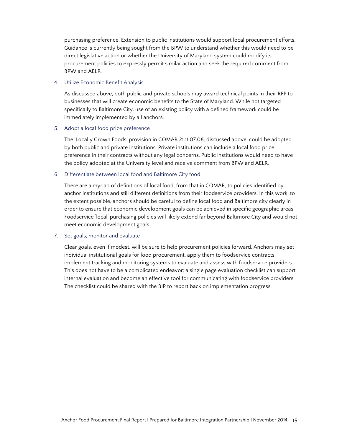purchasing preference. Extension to public institutions would support local procurement efforts. Guidance is currently being sought from the BPW to understand whether this would need to be direct legislative action or whether the University of Maryland system could modify its procurement policies to expressly permit similar action and seek the required comment from BPW and AELR.

## 4. Utilize Economic Benefit Analysis

As discussed above, both public and private schools may award technical points in their RFP to businesses that will create economic benefits to the State of Maryland. While not targeted specifically to Baltimore City, use of an existing policy with a defined framework could be immediately implemented by all anchors.

## 5. Adopt a local food price preference

The 'Locally Grown Foods' provision in COMAR 21.11.07.08, discussed above, could be adopted by both public and private institutions. Private institutions can include a local food price preference in their contracts without any legal concerns. Public institutions would need to have the policy adopted at the University level and receive comment from BPW and AELR.

# 6. Differentiate between local food and Baltimore City food

There are a myriad of definitions of local food, from that in COMAR, to policies identified by anchor institutions and still different definitions from their foodservice providers. In this work, to the extent possible, anchors should be careful to define local food and Baltimore city clearly in order to ensure that economic development goals can be achieved in specific geographic areas. Foodservice 'local' purchasing policies will likely extend far beyond Baltimore City and would not meet economic development goals.

## 7. Set goals, monitor and evaluate

Clear goals, even if modest, will be sure to help procurement policies forward. Anchors may set individual institutional goals for food procurement, apply them to foodservice contracts, implement tracking and monitoring systems to evaluate and assess with foodservice providers. This does not have to be a complicated endeavor; a single page evaluation checklist can support internal evaluation and become an effective tool for communicating with foodservice providers. The checklist could be shared with the BIP to report back on implementation progress.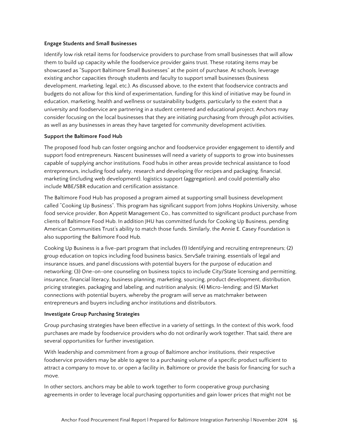## **Engage Students and Small Businesses**

Identify low risk retail items for foodservice providers to purchase from small businesses that will allow them to build up capacity while the foodservice provider gains trust. These rotating items may be showcased as "Support Baltimore Small Businesses" at the point of purchase. At schools, leverage existing anchor capacities through students and faculty to support small businesses (business development, marketing, legal, etc.). As discussed above, to the extent that foodservice contracts and budgets do not allow for this kind of experimentation, funding for this kind of initiative may be found in education, marketing, health and wellness or sustainability budgets, particularly to the extent that a university and foodservice are partnering in a student centered and educational project. Anchors may consider focusing on the local businesses that they are initiating purchasing from through pilot activities, as well as any businesses in areas they have targeted for community development activities.

## **Support the Baltimore Food Hub**

The proposed food hub can foster ongoing anchor and foodservice provider engagement to identify and support food entrepreneurs. Nascent businesses will need a variety of supports to grow into businesses capable of supplying anchor institutions. Food hubs in other areas provide technical assistance to food entrepreneurs, including food safety, research and developing (for recipes and packaging, financial, marketing (including web development), logistics support (aggregation), and could potentially also include MBE/SBR education and certification assistance.

The Baltimore Food Hub has proposed a program aimed at supporting small business development called "Cooking Up Business". This program has significant support from Johns Hopkins University, whose food service provider, Bon Appetit Management Co., has committed to significant product purchase from clients of Baltimore Food Hub. In addition JHU has committed funds for Cooking Up Business, pending American Communities Trust's ability to match those funds. Similarly, the Annie E. Casey Foundation is also supporting the Baltimore Food Hub.

Cooking Up Business is a five-part program that includes (1) Identifying and recruiting entrepreneurs; (2) group education on topics including food business basics, ServSafe training, essentials of legal and insurance issues, and panel discussions with potential buyers for the purpose of education and networking; (3) One-on-one counseling on business topics to include City/State licensing and permitting, insurance, financial literacy, business planning, marketing, sourcing, product development, distribution, pricing strategies, packaging and labeling, and nutrition analysis; (4) Micro-lending; and (5) Market connections with potential buyers, whereby the program will serve as matchmaker between entrepreneurs and buyers including anchor institutions and distributors.

#### **Investigate Group Purchasing Strategies**

Group purchasing strategies have been effective in a variety of settings. In the context of this work, food purchases are made by foodservice providers who do not ordinarily work together. That said, there are several opportunities for further investigation.

With leadership and commitment from a group of Baltimore anchor institutions, their respective foodservice providers may be able to agree to a purchasing volume of a specific product sufficient to attract a company to move to, or open a facility in, Baltimore or provide the basis for financing for such a move.

In other sectors, anchors may be able to work together to form cooperative group purchasing agreements in order to leverage local purchasing opportunities and gain lower prices that might not be